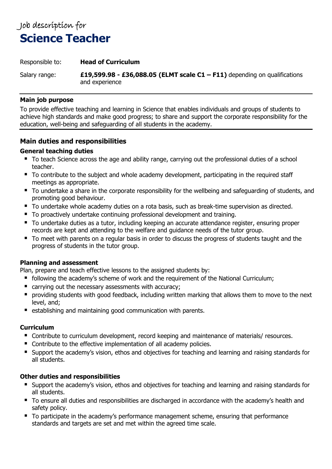# Job description for **Science Teacher**

#### Responsible to: **Head of Curriculum**

Salary range: **£19,599.98 - £36,088.05 (ELMT scale C1 – F11)** depending on qualifications and experience

#### **Main job purpose**

To provide effective teaching and learning in Science that enables individuals and groups of students to achieve high standards and make good progress; to share and support the corporate responsibility for the education, well-being and safeguarding of all students in the academy.

# **Main duties and responsibilities**

### **General teaching duties**

- To teach Science across the age and ability range, carrying out the professional duties of a school teacher.
- To contribute to the subject and whole academy development, participating in the required staff meetings as appropriate.
- To undertake a share in the corporate responsibility for the wellbeing and safeguarding of students, and promoting good behaviour.
- To undertake whole academy duties on a rota basis, such as break-time supervision as directed.
- To proactively undertake continuing professional development and training.
- To undertake duties as a tutor, including keeping an accurate attendance register, ensuring proper records are kept and attending to the welfare and guidance needs of the tutor group.
- To meet with parents on a regular basis in order to discuss the progress of students taught and the progress of students in the tutor group.

#### **Planning and assessment**

Plan, prepare and teach effective lessons to the assigned students by:

- following the academy's scheme of work and the requirement of the National Curriculum;
- carrying out the necessary assessments with accuracy;
- providing students with good feedback, including written marking that allows them to move to the next level, and;
- establishing and maintaining good communication with parents.

## **Curriculum**

- Contribute to curriculum development, record keeping and maintenance of materials/ resources.
- Contribute to the effective implementation of all academy policies.
- Support the academy's vision, ethos and objectives for teaching and learning and raising standards for all students.

## **Other duties and responsibilities**

- Support the academy's vision, ethos and objectives for teaching and learning and raising standards for all students.
- To ensure all duties and responsibilities are discharged in accordance with the academy's health and safety policy.
- To participate in the academy's performance management scheme, ensuring that performance standards and targets are set and met within the agreed time scale.